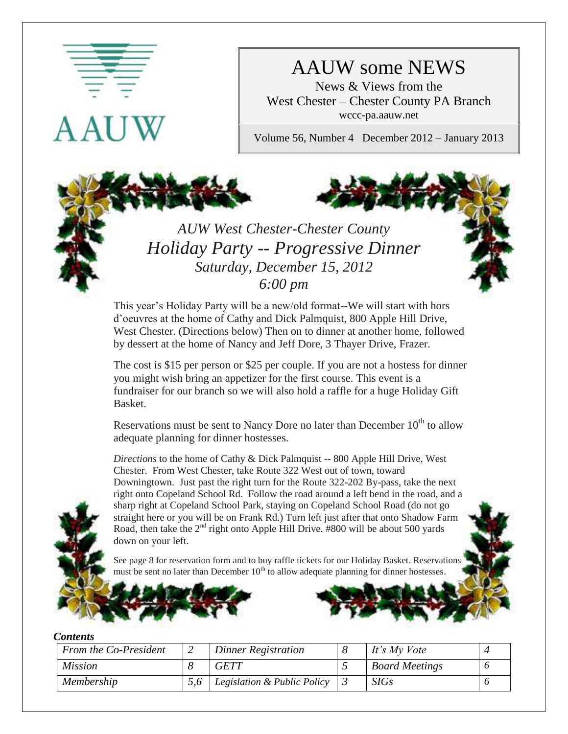

# AAUW some NEWS

News & Views from the West Chester – Chester County PA Branch wccc-pa.aauw.net

Volume 56, Number 4 December 2012 – January 2013

# *AUW West Chester-Chester County Holiday Party -- Progressive Dinner Saturday, December 15, 2012 6:00 pm*

This year's Holiday Party will be a new/old format--We will start with hors d'oeuvres at the home of Cathy and Dick Palmquist, 800 Apple Hill Drive, West Chester. (Directions below) Then on to dinner at another home, followed by dessert at the home of Nancy and Jeff Dore, 3 Thayer Drive, Frazer.

The cost is \$15 per person or \$25 per couple. If you are not a hostess for dinner you might wish bring an appetizer for the first course. This event is a fundraiser for our branch so we will also hold a raffle for a huge Holiday Gift Basket.

Reservations must be sent to Nancy Dore no later than December  $10<sup>th</sup>$  to allow adequate planning for dinner hostesses.

*Directions* to the home of Cathy & Dick Palmquist -- 800 Apple Hill Drive, West Chester. From West Chester, take Route 322 West out of town, toward Downingtown. Just past the right turn for the Route 322-202 By-pass, take the next right onto Copeland School Rd. Follow the road around a left bend in the road, and a sharp right at Copeland School Park, staying on Copeland School Road (do not go straight here or you will be on Frank Rd.) Turn left just after that onto Shadow Farm Road, then take the  $2<sup>nd</sup>$  right onto Apple Hill Drive. #800 will be about 500 yards down on your left.

See page 8 for reservation form and to buy raffle tickets for our Holiday Basket. Reservations must be sent no later than December  $10^{th}$  to allow adequate planning for dinner hostesses



#### *Contents*

| From the Co-President | Dinner Registration         | It's My Vote          |  |
|-----------------------|-----------------------------|-----------------------|--|
| <i>Mission</i>        | <i><b>GETT</b></i>          | <b>Board Meetings</b> |  |
| Membership            | Legislation & Public Policy | SIGs                  |  |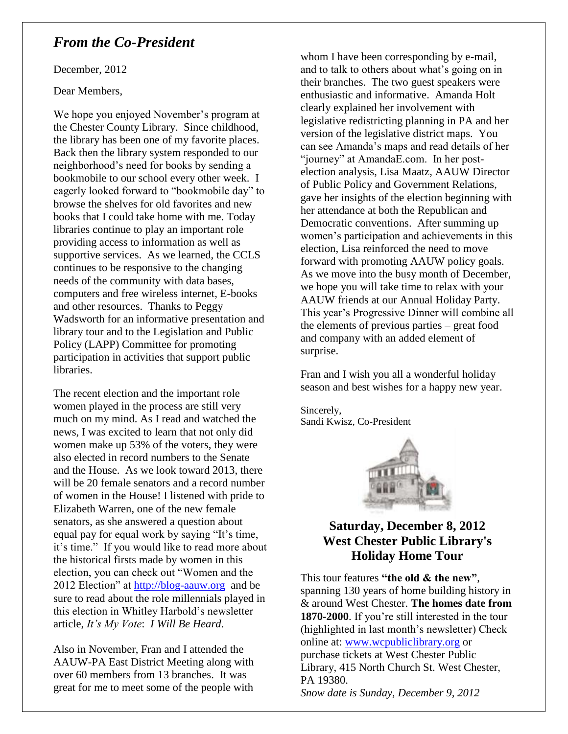### *From the Co-President*

December, 2012

Dear Members,

We hope you enjoyed November's program at the Chester County Library. Since childhood, the library has been one of my favorite places. Back then the library system responded to our neighborhood's need for books by sending a bookmobile to our school every other week. I eagerly looked forward to "bookmobile day" to browse the shelves for old favorites and new books that I could take home with me. Today libraries continue to play an important role providing access to information as well as supportive services. As we learned, the CCLS continues to be responsive to the changing needs of the community with data bases, computers and free wireless internet, E-books and other resources. Thanks to Peggy Wadsworth for an informative presentation and library tour and to the Legislation and Public Policy (LAPP) Committee for promoting participation in activities that support public libraries.

The recent election and the important role women played in the process are still very much on my mind. As I read and watched the news, I was excited to learn that not only did women make up 53% of the voters, they were also elected in record numbers to the Senate and the House. As we look toward 2013, there will be 20 female senators and a record number of women in the House! I listened with pride to Elizabeth Warren, one of the new female senators, as she answered a question about equal pay for equal work by saying "It's time, it's time." If you would like to read more about the historical firsts made by women in this election, you can check out "Women and the 2012 Election" at [http://blog-aauw.org](http://blog-aauw.org/) and be sure to read about the role millennials played in this election in Whitley Harbold's newsletter article, *It's My Vote*: *I Will Be Heard*.

Also in November, Fran and I attended the AAUW-PA East District Meeting along with over 60 members from 13 branches. It was great for me to meet some of the people with

whom I have been corresponding by e-mail, and to talk to others about what's going on in their branches. The two guest speakers were enthusiastic and informative. Amanda Holt clearly explained her involvement with legislative redistricting planning in PA and her version of the legislative district maps. You can see Amanda's maps and read details of her "journey" at AmandaE.com. In her postelection analysis, Lisa Maatz, AAUW Director of Public Policy and Government Relations, gave her insights of the election beginning with her attendance at both the Republican and Democratic conventions. After summing up women's participation and achievements in this election, Lisa reinforced the need to move forward with promoting AAUW policy goals. As we move into the busy month of December, we hope you will take time to relax with your AAUW friends at our Annual Holiday Party. This year's Progressive Dinner will combine all the elements of previous parties – great food and company with an added element of surprise.

Fran and I wish you all a wonderful holiday season and best wishes for a happy new year.

Sincerely, Sandi Kwisz, Co-President



### **Saturday, December 8, 2012 West Chester Public Library's Holiday Home Tour**

This tour features **"the old & the new"**, spanning 130 years of home building history in & around West Chester. **The homes date from 1870-2000**. If you're still interested in the tour (highlighted in last month's newsletter) Check online at: [www.wcpubliclibrary.org](http://www.wcpubliclibrary.org/) or purchase tickets at West Chester Public Library, 415 North Church St. West Chester, PA 19380. *Snow date is Sunday, December 9, 2012*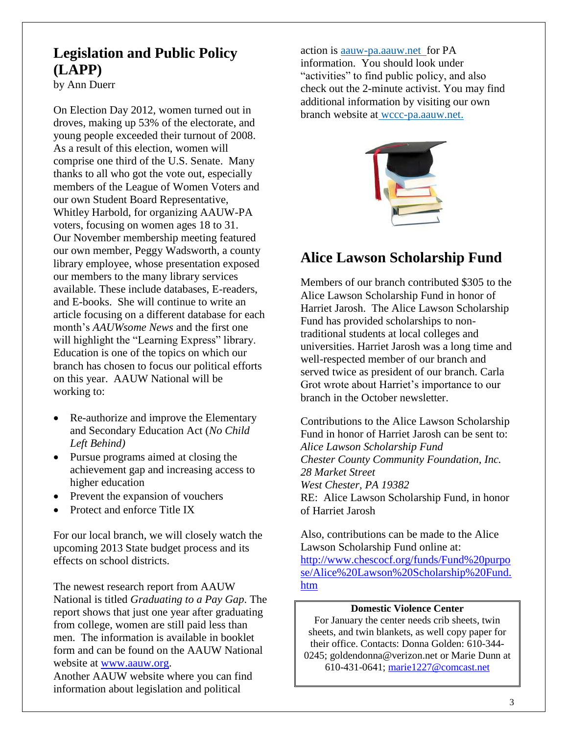# **Legislation and Public Policy (LAPP)**

by Ann Duerr

On Election Day 2012, women turned out in droves, making up 53% of the electorate, and young people exceeded their turnout of 2008. As a result of this election, women will comprise one third of the U.S. Senate. Many thanks to all who got the vote out, especially members of the League of Women Voters and our own Student Board Representative, Whitley Harbold, for organizing AAUW-PA voters, focusing on women ages 18 to 31. Our November membership meeting featured our own member, Peggy Wadsworth, a county library employee, whose presentation exposed our members to the many library services available. These include databases, E-readers, and E-books. She will continue to write an article focusing on a different database for each month's *AAUWsome News* and the first one will highlight the "Learning Express" library. Education is one of the topics on which our branch has chosen to focus our political efforts on this year. AAUW National will be working to:

- Re-authorize and improve the Elementary and Secondary Education Act (*No Child Left Behind)*
- Pursue programs aimed at closing the achievement gap and increasing access to higher education
- Prevent the expansion of vouchers
- Protect and enforce Title IX

For our local branch, we will closely watch the upcoming 2013 State budget process and its effects on school districts.

The newest research report from AAUW National is titled *Graduating to a Pay Gap*. The report shows that just one year after graduating from college, women are still paid less than men. The information is available in booklet form and can be found on the AAUW National website at [www.aauw.org.](http://www.aauw.org/)

Another AAUW website where you can find information about legislation and political

action is aauw-pa.aauw.netfor PA information. You should look under "activities" to find public policy, and also check out the 2-minute activist. You may find additional information by visiting our own branch website at wccc-pa.aauw.net.



# **Alice Lawson Scholarship Fund**

Members of our branch contributed \$305 to the Alice Lawson Scholarship Fund in honor of Harriet Jarosh. The Alice Lawson Scholarship Fund has provided scholarships to nontraditional students at local colleges and universities. Harriet Jarosh was a long time and well-respected member of our branch and served twice as president of our branch. Carla Grot wrote about Harriet's importance to our branch in the October newsletter.

Contributions to the Alice Lawson Scholarship Fund in honor of Harriet Jarosh can be sent to: *Alice Lawson Scholarship Fund Chester County Community Foundation, Inc. 28 Market Street West Chester, PA 19382* RE: Alice Lawson Scholarship Fund, in honor of Harriet Jarosh

Also, contributions can be made to the Alice Lawson Scholarship Fund online at: [http://www.chescocf.org/funds/Fund%20purpo](http://www.chescocf.org/funds/Fund%20purpose/Alice%20Lawson%20Scholarship%20Fund.htm) [se/Alice%20Lawson%20Scholarship%20Fund.](http://www.chescocf.org/funds/Fund%20purpose/Alice%20Lawson%20Scholarship%20Fund.htm) [htm](http://www.chescocf.org/funds/Fund%20purpose/Alice%20Lawson%20Scholarship%20Fund.htm)

#### **Domestic Violence Center**

For January the center needs crib sheets, twin sheets, and twin blankets, as well copy paper for their office. Contacts: Donna Golden: 610-344- 0245; goldendonna@verizon.net or Marie Dunn at 610-431-0641; [marie1227@comcast.net](mailto:marie1227@comcast.net)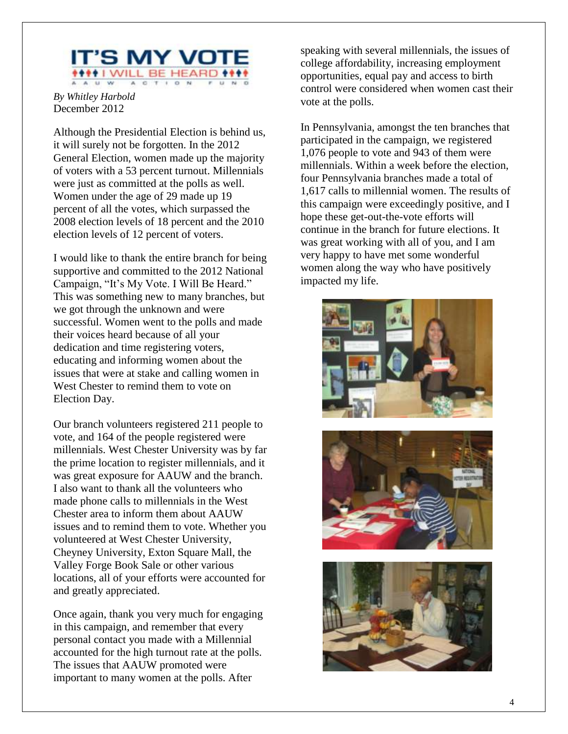

*By Whitley Harbold* December 2012

Although the Presidential Election is behind us, it will surely not be forgotten. In the 2012 General Election, women made up the majority of voters with a 53 percent turnout. Millennials were just as committed at the polls as well. Women under the age of 29 made up 19 percent of all the votes, which surpassed the 2008 election levels of 18 percent and the 2010 election levels of 12 percent of voters.

I would like to thank the entire branch for being supportive and committed to the 2012 National Campaign, "It's My Vote. I Will Be Heard." This was something new to many branches, but we got through the unknown and were successful. Women went to the polls and made their voices heard because of all your dedication and time registering voters, educating and informing women about the issues that were at stake and calling women in West Chester to remind them to vote on Election Day.

Our branch volunteers registered 211 people to vote, and 164 of the people registered were millennials. West Chester University was by far the prime location to register millennials, and it was great exposure for AAUW and the branch. I also want to thank all the volunteers who made phone calls to millennials in the West Chester area to inform them about AAUW issues and to remind them to vote. Whether you volunteered at West Chester University, Cheyney University, Exton Square Mall, the Valley Forge Book Sale or other various locations, all of your efforts were accounted for and greatly appreciated.

Once again, thank you very much for engaging in this campaign, and remember that every personal contact you made with a Millennial accounted for the high turnout rate at the polls. The issues that AAUW promoted were important to many women at the polls. After

speaking with several millennials, the issues of college affordability, increasing employment opportunities, equal pay and access to birth control were considered when women cast their vote at the polls.

In Pennsylvania, amongst the ten branches that participated in the campaign, we registered 1,076 people to vote and 943 of them were millennials. Within a week before the election, four Pennsylvania branches made a total of 1,617 calls to millennial women. The results of this campaign were exceedingly positive, and I hope these get-out-the-vote efforts will continue in the branch for future elections. It was great working with all of you, and I am very happy to have met some wonderful women along the way who have positively impacted my life.





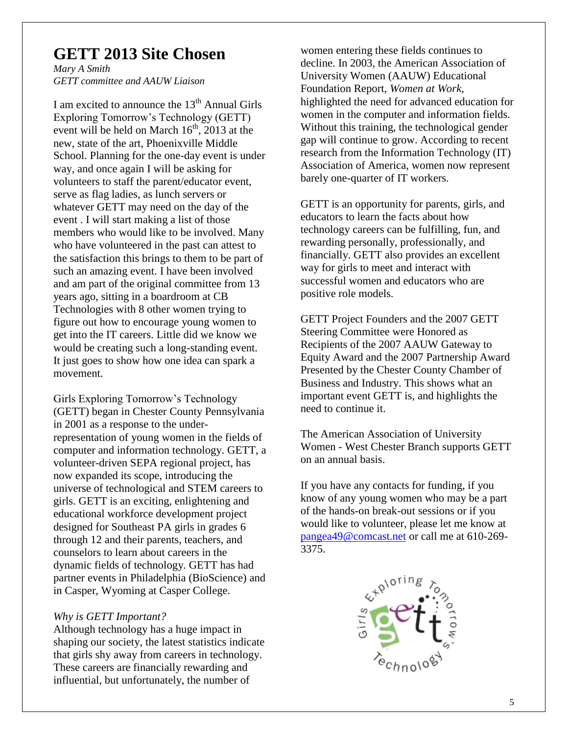# **GETT 2013 Site Chosen**

*Mary A Smith GETT committee and AAUW Liaison*

I am excited to announce the  $13<sup>th</sup>$  Annual Girls Exploring Tomorrow's Technology (GETT) event will be held on March  $16^{th}$ ,  $2013$  at the new, state of the art, Phoenixville Middle School. Planning for the one-day event is under way, and once again I will be asking for volunteers to staff the parent/educator event, serve as flag ladies, as lunch servers or whatever GETT may need on the day of the event . I will start making a list of those members who would like to be involved. Many who have volunteered in the past can attest to the satisfaction this brings to them to be part of such an amazing event. I have been involved and am part of the original committee from 13 years ago, sitting in a boardroom at CB Technologies with 8 other women trying to figure out how to encourage young women to get into the IT careers. Little did we know we would be creating such a long-standing event. It just goes to show how one idea can spark a movement.

Girls Exploring Tomorrow's Technology (GETT) began in Chester County Pennsylvania in 2001 as a response to the underrepresentation of young women in the fields of computer and information technology. GETT, a volunteer-driven SEPA regional project, has now expanded its scope, introducing the universe of technological and STEM careers to girls. GETT is an exciting, enlightening and educational workforce development project designed for Southeast PA girls in grades 6 through 12 and their parents, teachers, and counselors to learn about careers in the dynamic fields of technology. GETT has had partner events in Philadelphia (BioScience) and in Casper, Wyoming at Casper College.

#### *Why is GETT Important?*

Although technology has a huge impact in shaping our society, the latest statistics indicate that girls shy away from careers in technology. These careers are financially rewarding and influential, but unfortunately, the number of

women entering these fields continues to decline. In 2003, the American Association of University Women (AAUW) Educational Foundation Report, *Women at Work*, highlighted the need for advanced education for women in the computer and information fields. Without this training, the technological gender gap will continue to grow. According to recent research from the Information Technology (IT) Association of America, women now represent barely one-quarter of IT workers.

GETT is an opportunity for parents, girls, and educators to learn the facts about how technology careers can be fulfilling, fun, and rewarding personally, professionally, and financially. GETT also provides an excellent way for girls to meet and interact with successful women and educators who are positive role models.

GETT Project Founders and the 2007 GETT Steering Committee were Honored as Recipients of the 2007 AAUW Gateway to Equity Award and the 2007 Partnership Award Presented by the Chester County Chamber of Business and Industry. This shows what an important event GETT is, and highlights the need to continue it.

The American Association of University Women - West Chester Branch supports GETT on an annual basis.

If you have any contacts for funding, if you know of any young women who may be a part of the hands-on break-out sessions or if you would like to volunteer, please let me know at [pangea49@comcast.net](mailto:pangea49@comcast.net) or call me at 610-269- 3375.

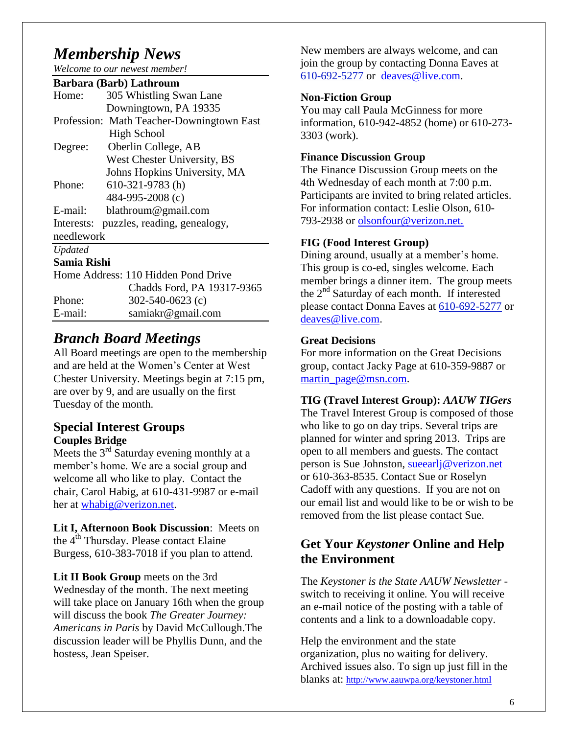# *Membership News*

*Welcome to our newest member!* 

#### **Barbara (Barb) Lathroum**

| Home:          | 305 Whistling Swan Lane                   |
|----------------|-------------------------------------------|
|                | Downingtown, PA 19335                     |
|                | Profession: Math Teacher-Downingtown East |
|                | <b>High School</b>                        |
| Degree:        | Oberlin College, AB                       |
|                | West Chester University, BS               |
|                | Johns Hopkins University, MA              |
| Phone:         | $610-321-9783$ (h)                        |
|                | 484-995-2008 (c)                          |
| E-mail:        | blathroum@gmail.com                       |
| Interests:     | puzzles, reading, genealogy,              |
| needlework     |                                           |
| <b>Updated</b> |                                           |
| Samia Rishi    |                                           |
|                | Home Address: 110 Hidden Pond Drive       |

|         | HOME AGGIESS. TIU HIGGEII PONG DIIVE |
|---------|--------------------------------------|
|         | Chadds Ford, PA 19317-9365           |
| Phone:  | $302 - 540 - 0623$ (c)               |
| E-mail: | samiakr@gmail.com                    |

### *Branch Board Meetings*

All Board meetings are open to the membership and are held at the Women's Center at West Chester University. Meetings begin at 7:15 pm, are over by 9, and are usually on the first Tuesday of the month.

#### **Special Interest Groups Couples Bridge**

Meets the  $3<sup>rd</sup>$  Saturday evening monthly at a member's home. We are a social group and welcome all who like to play. Contact the chair, Carol Habig, at 610-431-9987 or e-mail her at [whabig@verizon.net.](mailto:whabig@verizon.net)

**Lit I, Afternoon Book Discussion**: Meets on the 4<sup>th</sup> Thursday. Please contact Elaine Burgess, 610-383-7018 if you plan to attend.

Lit II Book Group meets on the 3rd Wednesday of the month. The next meeting will take place on January 16th when the group will discuss the book *The Greater Journey: Americans in Paris* by David McCullough.The discussion leader will be Phyllis Dunn, and the hostess, Jean Speiser.

New members are always welcome, and can join the group by contacting Donna Eaves at [610-692-5277](tel:/610-692-5277) or [deaves@live.com.](mailto:deaves@live.com)

#### **Non-Fiction Group**

You may call Paula McGinness for more information, 610-942-4852 (home) or 610-273- 3303 (work).

#### **Finance Discussion Group**

The Finance Discussion Group meets on the 4th Wednesday of each month at 7:00 p.m. Participants are invited to bring related articles. For information contact: Leslie Olson, 610- 793-2938 or olsonfour@verizon.net.

#### **FIG (Food Interest Group)**

Dining around, usually at a member's home. This group is co-ed, singles welcome. Each member brings a dinner item. The group meets the  $2<sup>nd</sup>$  Saturday of each month. If interested please contact Donna Eaves at [610-692-5277](tel:/610-692-5277) or [deaves@live.com.](mailto:deaves@live.com)

#### **Great Decisions**

For more information on the Great Decisions group, contact Jacky Page at 610-359-9887 or [martin\\_page@msn.com.](mailto:martin_page@msn.com)

#### **TIG (Travel Interest Group):** *AAUW TIGers*

The Travel Interest Group is composed of those who like to go on day trips. Several trips are planned for winter and spring 2013. Trips are open to all members and guests. The contact person is Sue Johnston, [sueearlj@verizon.net](mailto:sueearlj@verizon.net) or 610-363-8535. Contact Sue or Roselyn Cadoff with any questions. If you are not on our email list and would like to be or wish to be removed from the list please contact Sue.

### **Get Your** *Keystoner* **Online and Help the Environment**

The *Keystoner is the State AAUW Newsletter*  switch to receiving it online*.* You will receive an e-mail notice of the posting with a table of contents and a link to a downloadable copy.

Help the environment and the state organization, plus no waiting for delivery. Archived issues also. To sign up just fill in the blanks at: <http://www.aauwpa.org/keystoner.html>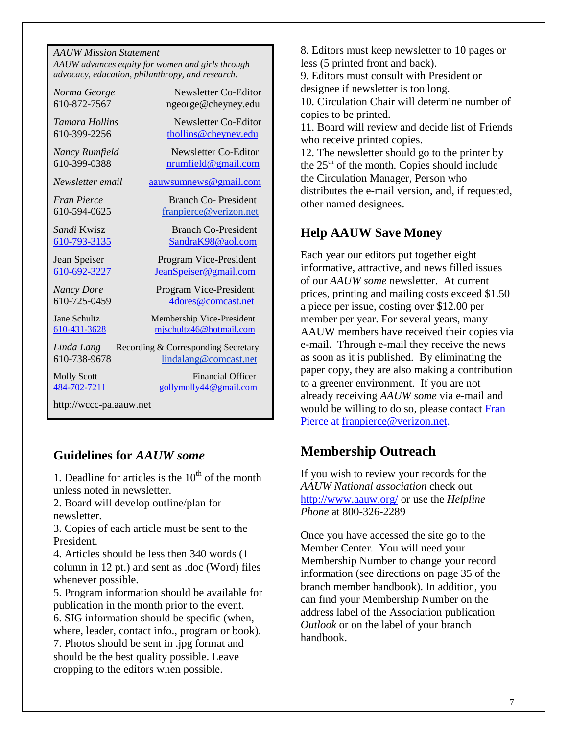| <b>AAUW Mission Statement</b>                    |
|--------------------------------------------------|
| AAUW advances equity for women and girls through |
| advocacy, education, philanthropy, and research. |

| Norma George            | Newsletter Co-Editor                |
|-------------------------|-------------------------------------|
| 610-872-7567            | ngeorge@cheyney.edu                 |
| Tamara Hollins          | Newsletter Co-Editor                |
| 610-399-2256            | thollins@cheyney.edu                |
| Nancy Rumfield          | Newsletter Co-Editor                |
| 610-399-0388            | nrumfield@gmail.com                 |
| Newsletter email        | aauwsumnews@gmail.com               |
| <b>Fran Pierce</b>      | Branch Co-President                 |
| 610-594-0625            | franpierce@verizon.net              |
| Sandi Kwisz             | <b>Branch Co-President</b>          |
| 610-793-3135            | SandraK98@aol.com                   |
| Jean Speiser            | Program Vice-President              |
| 610-692-3227            | <u>JeanSpeiser@gmail.com</u>        |
| <b>Nancy Dore</b>       | Program Vice-President              |
| 610-725-0459            | 4dores@comcast.net                  |
| Jane Schultz            | Membership Vice-President           |
| 610-431-3628            | mjschultz46@hotmail.com             |
| Linda Lang              | Recording & Corresponding Secretary |
| 610-738-9678            | lindalang@comcast.net               |
| <b>Molly Scott</b>      | <b>Financial Officer</b>            |
| 484-702-7211            | gollymolly44@gmail.com              |
| http://wccc-pa.aauw.net |                                     |

### **Guidelines for** *AAUW some*

1. Deadline for articles is the  $10<sup>th</sup>$  of the month unless noted in newsletter.

2. Board will develop outline/plan for newsletter.

3. Copies of each article must be sent to the President.

4. Articles should be less then 340 words (1 column in 12 pt.) and sent as .doc (Word) files whenever possible.

5. Program information should be available for publication in the month prior to the event.

6. SIG information should be specific (when, where, leader, contact info., program or book).

7. Photos should be sent in .jpg format and should be the best quality possible. Leave cropping to the editors when possible.

8. Editors must keep newsletter to 10 pages or less (5 printed front and back).

9. Editors must consult with President or designee if newsletter is too long.

10. Circulation Chair will determine number of copies to be printed.

11. Board will review and decide list of Friends who receive printed copies.

12. The newsletter should go to the printer by the  $25<sup>th</sup>$  of the month. Copies should include the Circulation Manager, Person who distributes the e-mail version, and, if requested, other named designees.

### **Help AAUW Save Money**

Each year our editors put together eight informative, attractive, and news filled issues of our *AAUW some* newsletter. At current prices, printing and mailing costs exceed \$1.50 a piece per issue, costing over \$12.00 per member per year. For several years, many AAUW members have received their copies via e-mail. Through e-mail they receive the news as soon as it is published. By eliminating the paper copy, they are also making a contribution to a greener environment. If you are not already receiving *AAUW some* via e-mail and would be willing to do so, please contact Fran Pierce at [franpierce@verizon.net.](mailto:franpierce@verizon.net)

# **Membership Outreach**

If you wish to review your records for the *AAUW National association* check out <http://www.aauw.org/> or use the *Helpline Phone* at 800-326-2289

Once you have accessed the site go to the Member Center. You will need your Membership Number to change your record information (see directions on page 35 of the branch member handbook). In addition, you can find your Membership Number on the address label of the Association publication *Outlook* or on the label of your branch handbook.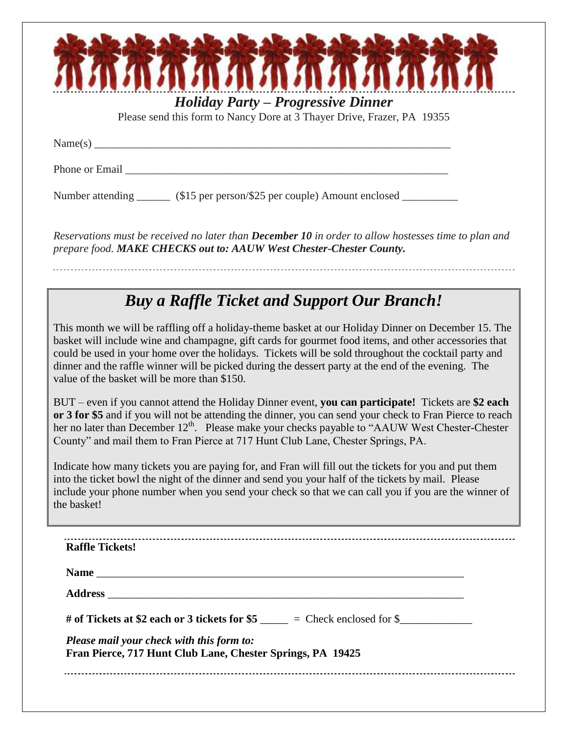| <b>Holiday Party – Progressive Dinner</b><br>Please send this form to Nancy Dore at 3 Thayer Drive, Frazer, PA 19355                                                                                                                                                                                                                                                                                                                                                        |
|-----------------------------------------------------------------------------------------------------------------------------------------------------------------------------------------------------------------------------------------------------------------------------------------------------------------------------------------------------------------------------------------------------------------------------------------------------------------------------|
| Name(s) $\overline{\phantom{a}}$                                                                                                                                                                                                                                                                                                                                                                                                                                            |
| Phone or Email _____                                                                                                                                                                                                                                                                                                                                                                                                                                                        |
| Number attending ________ (\$15 per person/\$25 per couple) Amount enclosed ______                                                                                                                                                                                                                                                                                                                                                                                          |
| Reservations must be received no later than <b>December 10</b> in order to allow hostesses time to plan and<br>prepare food. MAKE CHECKS out to: AAUW West Chester-Chester County.                                                                                                                                                                                                                                                                                          |
|                                                                                                                                                                                                                                                                                                                                                                                                                                                                             |
| <b>Buy a Raffle Ticket and Support Our Branch!</b>                                                                                                                                                                                                                                                                                                                                                                                                                          |
| This month we will be raffling off a holiday-theme basket at our Holiday Dinner on December 15. The<br>basket will include wine and champagne, gift cards for gourmet food items, and other accessories that<br>could be used in your home over the holidays. Tickets will be sold throughout the cocktail party and<br>dinner and the raffle winner will be picked during the dessert party at the end of the evening. The<br>value of the basket will be more than \$150. |
| BUT – even if you cannot attend the Holiday Dinner event, you can participate! Tickets are \$2 each<br>or 3 for \$5 and if you will not be attending the dinner, you can send your check to Fran Pierce to reach<br>her no later than December 12 <sup>th</sup> . Please make your checks payable to "AAUW West Chester-Chester<br>County" and mail them to Fran Pierce at 717 Hunt Club Lane, Chester Springs, PA.                                                         |
| Indicate how many tickets you are paying for, and Fran will fill out the tickets for you and put them<br>into the ticket bowl the night of the dinner and send you your half of the tickets by mail. Please<br>include your phone number when you send your check so that we can call you if you are the winner of<br>the basket!                                                                                                                                           |
| <b>Raffle Tickets!</b>                                                                                                                                                                                                                                                                                                                                                                                                                                                      |
|                                                                                                                                                                                                                                                                                                                                                                                                                                                                             |
|                                                                                                                                                                                                                                                                                                                                                                                                                                                                             |
|                                                                                                                                                                                                                                                                                                                                                                                                                                                                             |
| Please mail your check with this form to:                                                                                                                                                                                                                                                                                                                                                                                                                                   |
| Fran Pierce, 717 Hunt Club Lane, Chester Springs, PA 19425                                                                                                                                                                                                                                                                                                                                                                                                                  |
|                                                                                                                                                                                                                                                                                                                                                                                                                                                                             |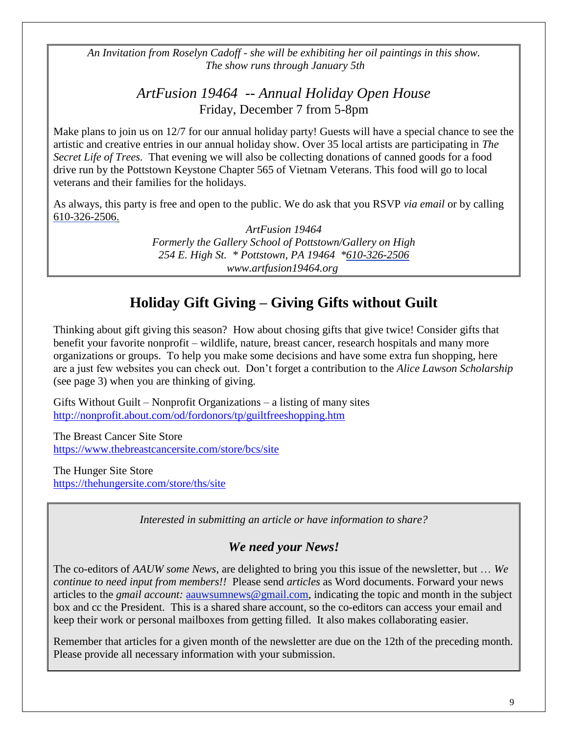*An Invitation from Roselyn Cadoff - she will be exhibiting her oil paintings in this show. The show runs through January 5th*

> *ArtFusion 19464 -- Annual Holiday Open House* Friday, December 7 from 5-8pm

Make plans to join us on 12/7 for our annual holiday party! Guests will have a special chance to see the artistic and creative entries in our annual holiday show. Over 35 local artists are participating in *The Secret Life of Trees.* That evening we will also be collecting donations of canned goods for a food drive run by the Pottstown Keystone Chapter 565 of Vietnam Veterans. This food will go to local veterans and their families for the holidays.

As always, this party is free and open to the public. We do ask that you RSVP *[via email](mailto:update@artfusion19464.org?subject=Holiday%20Party%20RSVP)* or by calling [610-326-2506.](tel:/610-326-2506)

> *ArtFusion 19464 Formerly the Gallery School of Pottstown/Gallery on High 254 E. High St. \* Pottstown, PA 19464 [\\*610-326-2506](tel:/610-326-2506) [www.artfusion19464.org](http://www.artfusion19464.org/)*

# **Holiday Gift Giving – Giving Gifts without Guilt**

Thinking about gift giving this season? How about chosing gifts that give twice! Consider gifts that benefit your favorite nonprofit – wildlife, nature, breast cancer, research hospitals and many more organizations or groups. To help you make some decisions and have some extra fun shopping, here are a just few websites you can check out. Don't forget a contribution to the *Alice Lawson Scholarship* (see page 3) when you are thinking of giving.

Gifts Without Guilt – Nonprofit Organizations – a listing of many sites <http://nonprofit.about.com/od/fordonors/tp/guiltfreeshopping.htm>

The Breast Cancer Site Store <https://www.thebreastcancersite.com/store/bcs/site>

The Hunger Site Store <https://thehungersite.com/store/ths/site>

*Interested in submitting an article or have information to share?*

### *We need your News!*

The co-editors of *AAUW some News*, are delighted to bring you this issue of the newsletter, but … *We continue to need input from members!!* Please send *articles* as Word documents. Forward your news articles to the *gmail account:* [aauwsumnews@gmail.com,](mailto:aauwsum@gmail.com) indicating the topic and month in the subject box and cc the President. This is a shared share account, so the co-editors can access your email and keep their work or personal mailboxes from getting filled. It also makes collaborating easier.

Remember that articles for a given month of the newsletter are due on the 12th of the preceding month*.* Please provide all necessary information with your submission.